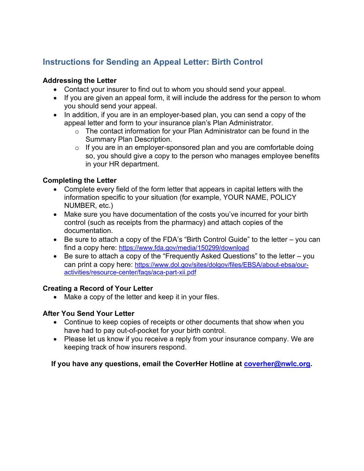# **Instructions for Sending an Appeal Letter: Birth Control**

#### **Addressing the Letter**

- Contact your insurer to find out to whom you should send your appeal.
- If you are given an appeal form, it will include the address for the person to whom you should send your appeal.
- In addition, if you are in an employer-based plan, you can send a copy of the appeal letter and form to your insurance plan's Plan Administrator.
	- $\circ$  The contact information for your Plan Administrator can be found in the Summary Plan Description.
	- $\circ$  If you are in an employer-sponsored plan and you are comfortable doing so, you should give a copy to the person who manages employee benefits in your HR department.

### **Completing the Letter**

- Complete every field of the form letter that appears in capital letters with the information specific to your situation (for example, YOUR NAME, POLICY NUMBER, etc.)
- Make sure you have documentation of the costs you've incurred for your birth control (such as receipts from the pharmacy) and attach copies of the documentation.
- Be sure to attach a copy of the FDA's "Birth Control Guide" to the letter you can find a copy here:<https://www.fda.gov/media/150299/download>
- Be sure to attach a copy of the "Frequently Asked Questions" to the letter you can print a copy here: [https://www.dol.gov/sites/dolgov/files/EBSA/about-ebsa/our](https://www.dol.gov/sites/dolgov/files/EBSA/about-ebsa/our-activities/resource-center/faqs/aca-part-xii.pdf)[activities/resource-center/faqs/aca-part-xii.pdf](https://www.dol.gov/sites/dolgov/files/EBSA/about-ebsa/our-activities/resource-center/faqs/aca-part-xii.pdf)

### **Creating a Record of Your Letter**

• Make a copy of the letter and keep it in your files.

### **After You Send Your Letter**

- Continue to keep copies of receipts or other documents that show when you have had to pay out-of-pocket for your birth control.
- Please let us know if you receive a reply from your insurance company. We are keeping track of how insurers respond.

### **If you have any questions, email the CoverHer Hotline at [coverher@nwlc.org.](mailto:coverher@nwlc.org)**